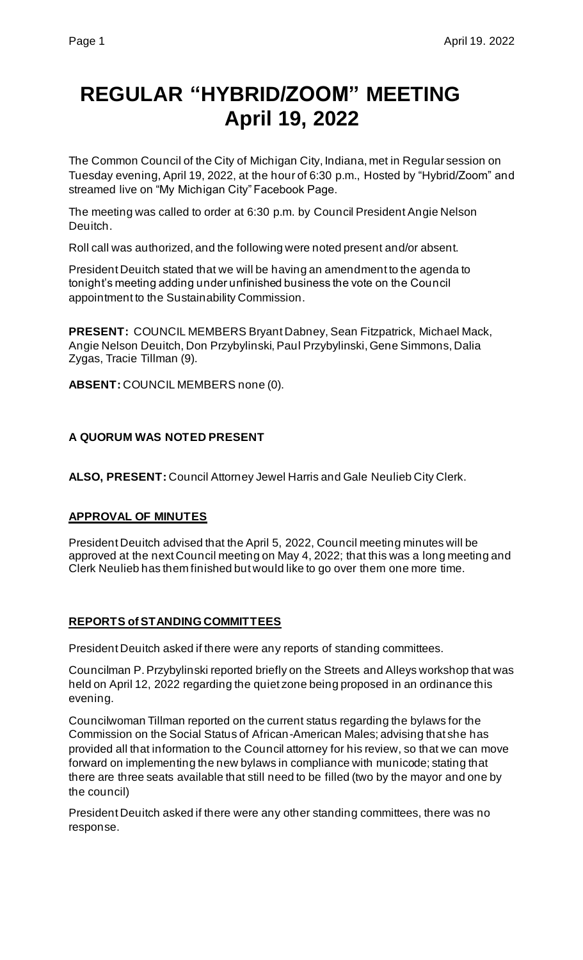# **REGULAR "HYBRID/ZOOM" MEETING April 19, 2022**

The Common Council of the City of Michigan City, Indiana, met in Regular session on Tuesday evening, April 19, 2022, at the hour of 6:30 p.m., Hosted by "Hybrid/Zoom" and streamed live on "My Michigan City" Facebook Page.

The meeting was called to order at 6:30 p.m. by Council President Angie Nelson Deuitch.

Roll call was authorized, and the following were noted present and/or absent.

President Deuitch stated that we will be having an amendment to the agenda to tonight's meeting adding under unfinished business the vote on the Council appointment to the Sustainability Commission.

**PRESENT:** COUNCIL MEMBERS Bryant Dabney, Sean Fitzpatrick, Michael Mack, Angie Nelson Deuitch, Don Przybylinski, Paul Przybylinski, Gene Simmons, Dalia Zygas, Tracie Tillman (9).

**ABSENT:** COUNCIL MEMBERS none (0).

# **A QUORUM WAS NOTED PRESENT**

**ALSO, PRESENT:** Council Attorney Jewel Harris and Gale Neulieb City Clerk.

#### **APPROVAL OF MINUTES**

President Deuitch advised that the April 5, 2022, Council meeting minutes will be approved at the next Council meeting on May 4, 2022; that this was a long meeting and Clerk Neulieb has them finished but would like to go over them one more time.

#### **REPORTS of STANDING COMMITTEES**

President Deuitch asked if there were any reports of standing committees.

Councilman P. Przybylinski reported briefly on the Streets and Alleys workshop that was held on April 12, 2022 regarding the quiet zone being proposed in an ordinance this evening.

Councilwoman Tillman reported on the current status regarding the bylaws for the Commission on the Social Status of African-American Males; advising that she has provided all that information to the Council attorney for his review, so that we can move forward on implementing the new bylaws in compliance with municode; stating that there are three seats available that still need to be filled (two by the mayor and one by the council)

President Deuitch asked if there were any other standing committees, there was no response.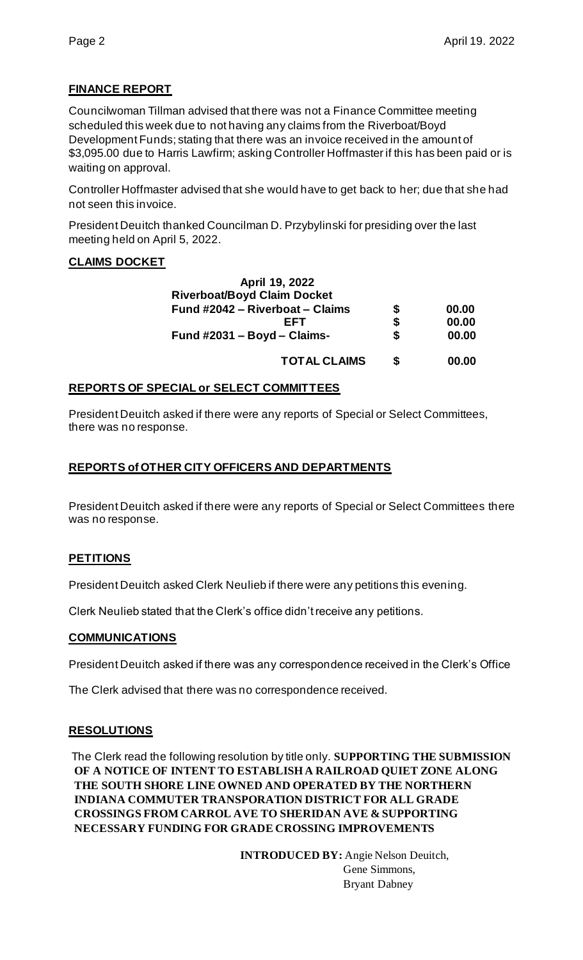# **FINANCE REPORT**

Councilwoman Tillman advised that there was not a Finance Committee meeting scheduled this week due to not having any claims from the Riverboat/Boyd Development Funds; stating that there was an invoice received in the amount of \$3,095.00 due to Harris Lawfirm; asking Controller Hoffmaster if this has been paid or is waiting on approval.

Controller Hoffmaster advised that she would have to get back to her; due that she had not seen this invoice.

President Deuitch thanked Councilman D. Przybylinski for presiding over the last meeting held on April 5, 2022.

#### **CLAIMS DOCKET**

| April 19, 2022                     |    |       |
|------------------------------------|----|-------|
| <b>Riverboat/Boyd Claim Docket</b> |    |       |
| Fund #2042 - Riverboat - Claims    | \$ | 00.00 |
| FFT                                | \$ | 00.00 |
| Fund #2031 - Boyd - Claims-        | \$ | 00.00 |
| <b>TOTAL CLAIMS</b>                | S  | 00.00 |

# **REPORTS OF SPECIAL or SELECT COMMITTEES**

President Deuitch asked if there were any reports of Special or Select Committees, there was no response.

# **REPORTS of OTHER CITY OFFICERS AND DEPARTMENTS**

President Deuitch asked if there were any reports of Special or Select Committees there was no response.

#### **PETITIONS**

President Deuitch asked Clerk Neulieb if there were any petitions this evening.

Clerk Neulieb stated that the Clerk's office didn't receive any petitions.

#### **COMMUNICATIONS**

President Deuitch asked if there was any correspondence received in the Clerk's Office

The Clerk advised that there was no correspondence received.

#### **RESOLUTIONS**

The Clerk read the following resolution by title only. **SUPPORTING THE SUBMISSION OF A NOTICE OF INTENT TO ESTABLISH A RAILROAD QUIET ZONE ALONG THE SOUTH SHORE LINE OWNED AND OPERATED BY THE NORTHERN INDIANA COMMUTER TRANSPORATION DISTRICT FOR ALL GRADE CROSSINGS FROM CARROL AVE TO SHERIDAN AVE & SUPPORTING NECESSARY FUNDING FOR GRADE CROSSING IMPROVEMENTS** 

> **INTRODUCED BY:** Angie Nelson Deuitch, Gene Simmons, Bryant Dabney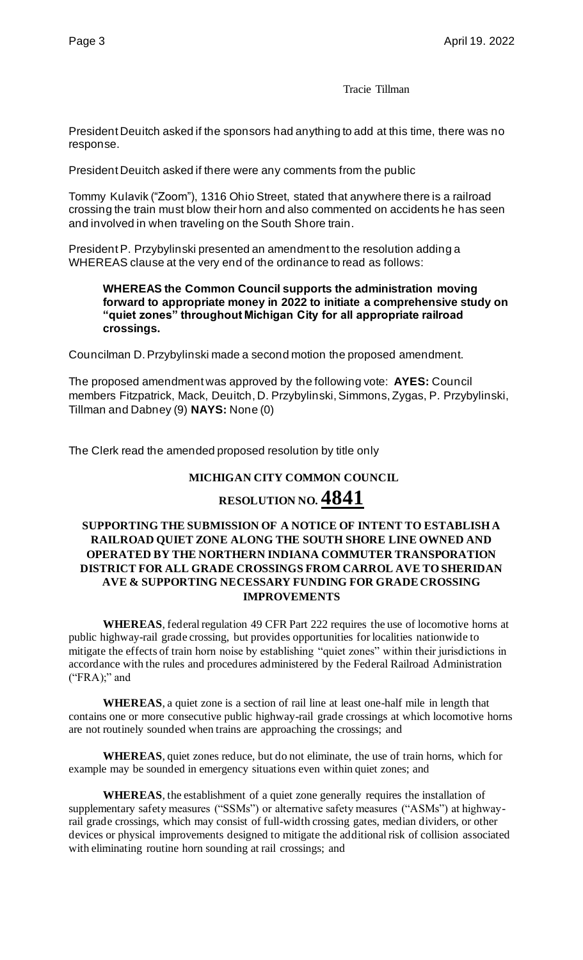Tracie Tillman

President Deuitch asked if the sponsors had anything to add at this time, there was no response.

President Deuitch asked if there were any comments from the public

Tommy Kulavik ("Zoom"), 1316 Ohio Street, stated that anywhere there is a railroad crossing the train must blow their horn and also commented on accidents he has seen and involved in when traveling on the South Shore train.

President P. Przybylinski presented an amendment to the resolution adding a WHEREAS clause at the very end of the ordinance to read as follows:

#### **WHEREAS the Common Council supports the administration moving forward to appropriate money in 2022 to initiate a comprehensive study on "quiet zones" throughout Michigan City for all appropriate railroad crossings.**

Councilman D. Przybylinski made a second motion the proposed amendment.

The proposed amendment was approved by the following vote: **AYES:** Council members Fitzpatrick, Mack, Deuitch, D. Przybylinski, Simmons, Zygas, P. Przybylinski, Tillman and Dabney (9) **NAYS:** None (0)

The Clerk read the amended proposed resolution by title only

#### **MICHIGAN CITY COMMON COUNCIL**

# **RESOLUTION NO. 4841**

#### **SUPPORTING THE SUBMISSION OF A NOTICE OF INTENT TO ESTABLISH A RAILROAD QUIET ZONE ALONG THE SOUTH SHORE LINE OWNED AND OPERATED BY THE NORTHERN INDIANA COMMUTER TRANSPORATION DISTRICT FOR ALL GRADE CROSSINGS FROM CARROL AVE TO SHERIDAN AVE & SUPPORTING NECESSARY FUNDING FOR GRADE CROSSING IMPROVEMENTS**

**WHEREAS**, federal regulation 49 CFR Part 222 requires the use of locomotive horns at public highway-rail grade crossing, but provides opportunities for localities nationwide to mitigate the effects of train horn noise by establishing "quiet zones" within their jurisdictions in accordance with the rules and procedures administered by the Federal Railroad Administration  $("FRA)$ ;" and

**WHEREAS**, a quiet zone is a section of rail line at least one-half mile in length that contains one or more consecutive public highway-rail grade crossings at which locomotive horns are not routinely sounded when trains are approaching the crossings; and

**WHEREAS**, quiet zones reduce, but do not eliminate, the use of train horns, which for example may be sounded in emergency situations even within quiet zones; and

**WHEREAS**, the establishment of a quiet zone generally requires the installation of supplementary safety measures ("SSMs") or alternative safety measures ("ASMs") at highwayrail grade crossings, which may consist of full-width crossing gates, median dividers, or other devices or physical improvements designed to mitigate the additional risk of collision associated with eliminating routine horn sounding at rail crossings; and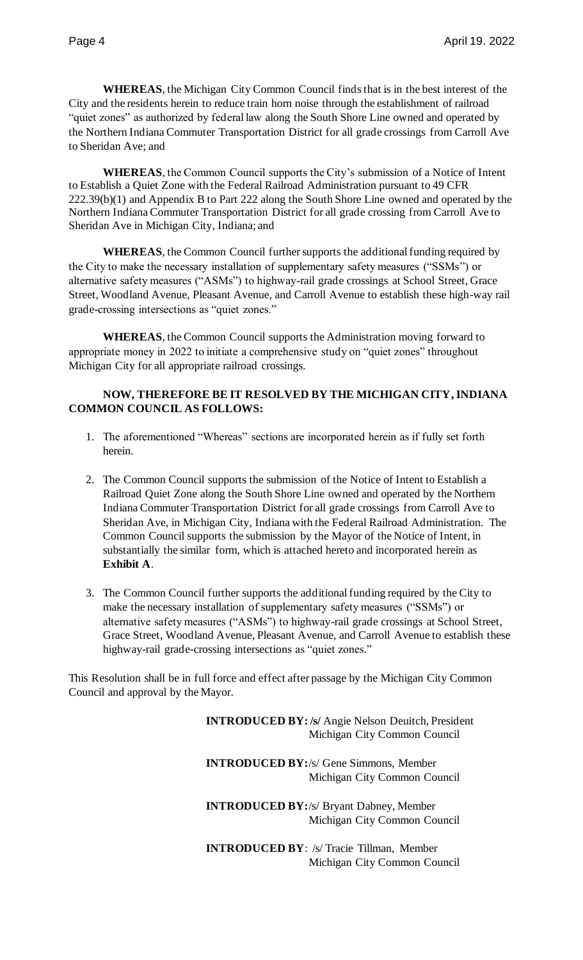**WHEREAS**, the Michigan City Common Council finds that is in the best interest of the City and the residents herein to reduce train horn noise through the establishment of railroad "quiet zones" as authorized by federal law along the South Shore Line owned and operated by the Northern Indiana Commuter Transportation District for all grade crossings from Carroll Ave to Sheridan Ave; and

**WHEREAS**, the Common Council supports the City's submission of a Notice of Intent to Establish a Quiet Zone with the Federal Railroad Administration pursuant to 49 CFR 222.39(b)(1) and Appendix B to Part 222 along the South Shore Line owned and operated by the Northern Indiana Commuter Transportation District for all grade crossing from Carroll Ave to Sheridan Ave in Michigan City, Indiana; and

**WHEREAS**, the Common Council further supports the additional funding required by the City to make the necessary installation of supplementary safety measures ("SSMs") or alternative safety measures ("ASMs") to highway-rail grade crossings at School Street, Grace Street, Woodland Avenue, Pleasant Avenue, and Carroll Avenue to establish these high-way rail grade-crossing intersections as "quiet zones."

**WHEREAS**, the Common Council supports the Administration moving forward to appropriate money in 2022 to initiate a comprehensive study on "quiet zones" throughout Michigan City for all appropriate railroad crossings.

#### **NOW, THEREFORE BE IT RESOLVED BY THE MICHIGAN CITY, INDIANA COMMON COUNCIL AS FOLLOWS:**

- 1. The aforementioned "Whereas" sections are incorporated herein as if fully set forth herein.
- 2. The Common Council supports the submission of the Notice of Intent to Establish a Railroad Quiet Zone along the South Shore Line owned and operated by the Northern Indiana Commuter Transportation District for all grade crossings from Carroll Ave to Sheridan Ave, in Michigan City, Indiana with the Federal Railroad Administration. The Common Council supports the submission by the Mayor of the Notice of Intent, in substantially the similar form, which is attached hereto and incorporated herein as **Exhibit A**.
- 3. The Common Council further supports the additional funding required by the City to make the necessary installation of supplementary safety measures ("SSMs") or alternative safety measures ("ASMs") to highway-rail grade crossings at School Street, Grace Street, Woodland Avenue, Pleasant Avenue, and Carroll Avenue to establish these highway-rail grade-crossing intersections as "quiet zones."

This Resolution shall be in full force and effect after passage by the Michigan City Common Council and approval by the Mayor.

> **INTRODUCED BY: /s/** Angie Nelson Deuitch, President Michigan City Common Council

**INTRODUCED BY:**/s/ Gene Simmons, Member Michigan City Common Council

**INTRODUCED BY:**/s/ Bryant Dabney, Member Michigan City Common Council

**INTRODUCED BY**: /s/ Tracie Tillman, Member Michigan City Common Council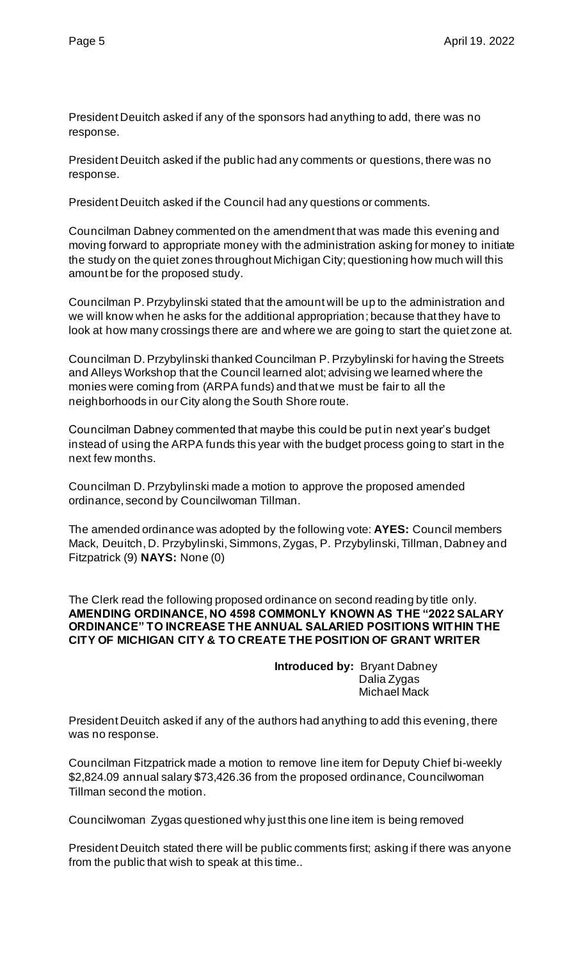President Deuitch asked if any of the sponsors had anything to add, there was no response.

President Deuitch asked if the public had any comments or questions, there was no response.

President Deuitch asked if the Council had any questions or comments.

Councilman Dabney commented on the amendment that was made this evening and moving forward to appropriate money with the administration asking for money to initiate the study on the quiet zones throughout Michigan City; questioning how much will this amount be for the proposed study.

Councilman P. Przybylinski stated that the amount will be up to the administration and we will know when he asks for the additional appropriation; because that they have to look at how many crossings there are and where we are going to start the quiet zone at.

Councilman D. Przybylinski thanked Councilman P. Przybylinski for having the Streets and Alleys Workshop that the Council learned alot; advising we learned where the monies were coming from (ARPA funds) and that we must be fair to all the neighborhoods in our City along the South Shore route.

Councilman Dabney commented that maybe this could be put in next year's budget instead of using the ARPA funds this year with the budget process going to start in the next few months.

Councilman D. Przybylinski made a motion to approve the proposed amended ordinance, second by Councilwoman Tillman.

The amended ordinance was adopted by the following vote: **AYES:** Council members Mack, Deuitch, D. Przybylinski, Simmons, Zygas, P. Przybylinski, Tillman, Dabney and Fitzpatrick (9) **NAYS:** None (0)

The Clerk read the following proposed ordinance on second reading by title only. **AMENDING ORDINANCE, NO 4598 COMMONLY KNOWN AS THE "2022 SALARY ORDINANCE" TO INCREASE THE ANNUAL SALARIED POSITIONS WITHIN THE CITY OF MICHIGAN CITY & TO CREATE THE POSITION OF GRANT WRITER**

> **Introduced by:** Bryant Dabney Dalia Zygas Michael Mack

President Deuitch asked if any of the authors had anything to add this evening, there was no response.

Councilman Fitzpatrick made a motion to remove line item for Deputy Chief bi-weekly \$2,824.09 annual salary \$73,426.36 from the proposed ordinance, Councilwoman Tillman second the motion.

Councilwoman Zygas questioned why just this one line item is being removed

President Deuitch stated there will be public comments first; asking if there was anyone from the public that wish to speak at this time..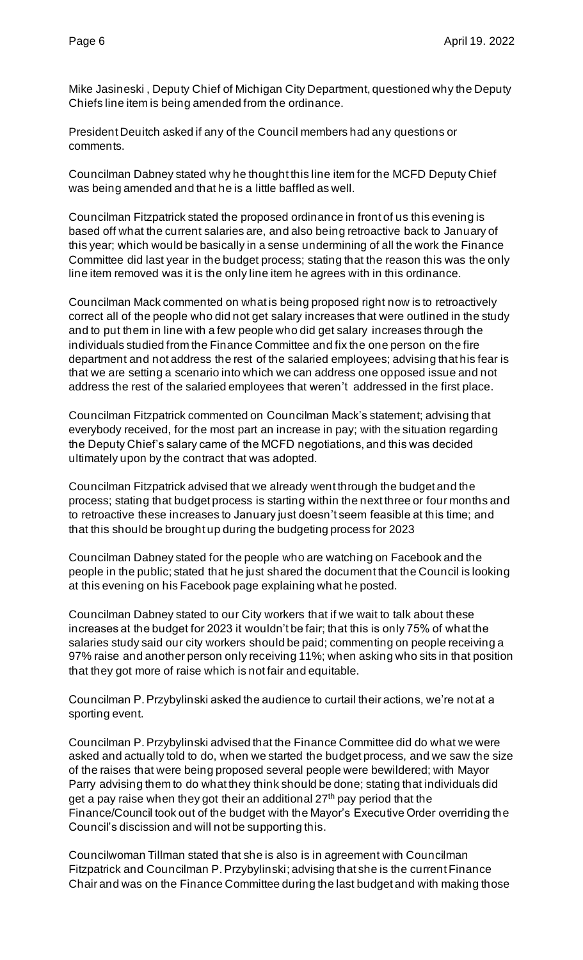Mike Jasineski , Deputy Chief of Michigan City Department, questioned why the Deputy Chiefs line item is being amended from the ordinance.

President Deuitch asked if any of the Council members had any questions or comments.

Councilman Dabney stated why he thought this line item for the MCFD Deputy Chief was being amended and that he is a little baffled as well.

Councilman Fitzpatrick stated the proposed ordinance in front of us this evening is based off what the current salaries are, and also being retroactive back to January of this year; which would be basically in a sense undermining of all the work the Finance Committee did last year in the budget process; stating that the reason this was the only line item removed was it is the only line item he agrees with in this ordinance.

Councilman Mack commented on what is being proposed right now is to retroactively correct all of the people who did not get salary increases that were outlined in the study and to put them in line with a few people who did get salary increases through the individuals studied from the Finance Committee and fix the one person on the fire department and not address the rest of the salaried employees; advising that his fear is that we are setting a scenario into which we can address one opposed issue and not address the rest of the salaried employees that weren't addressed in the first place.

Councilman Fitzpatrick commented on Councilman Mack's statement; advising that everybody received, for the most part an increase in pay; with the situation regarding the Deputy Chief's salary came of the MCFD negotiations, and this was decided ultimately upon by the contract that was adopted.

Councilman Fitzpatrick advised that we already went through the budget and the process; stating that budget process is starting within the next three or four months and to retroactive these increases to January just doesn't seem feasible at this time; and that this should be brought up during the budgeting process for 2023

Councilman Dabney stated for the people who are watching on Facebook and the people in the public; stated that he just shared the document that the Council is looking at this evening on his Facebook page explaining what he posted.

Councilman Dabney stated to our City workers that if we wait to talk about these increases at the budget for 2023 it wouldn't be fair; that this is only 75% of what the salaries study said our city workers should be paid; commenting on people receiving a 97% raise and another person only receiving 11%; when asking who sits in that position that they got more of raise which is not fair and equitable.

Councilman P. Przybylinski asked the audience to curtail their actions, we're not at a sporting event.

Councilman P. Przybylinski advised that the Finance Committee did do what we were asked and actually told to do, when we started the budget process, and we saw the size of the raises that were being proposed several people were bewildered; with Mayor Parry advising them to do what they think should be done; stating that individuals did get a pay raise when they got their an additional  $27<sup>th</sup>$  pay period that the Finance/Council took out of the budget with the Mayor's Executive Order overriding the Council's discission and will not be supporting this.

Councilwoman Tillman stated that she is also is in agreement with Councilman Fitzpatrick and Councilman P. Przybylinski; advising that she is the current Finance Chair and was on the Finance Committee during the last budget and with making those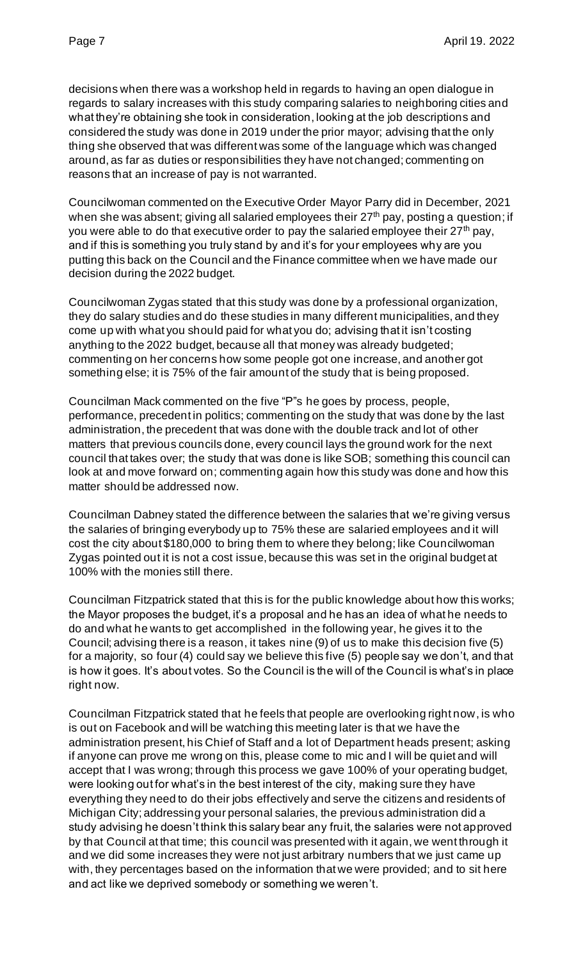decisions when there was a workshop held in regards to having an open dialogue in regards to salary increases with this study comparing salaries to neighboring cities and what they're obtaining she took in consideration, looking at the job descriptions and considered the study was done in 2019 under the prior mayor; advising that the only thing she observed that was different was some of the language which was changed around, as far as duties or responsibilities they have not changed; commenting on reasons that an increase of pay is not warranted.

Councilwoman commented on the Executive Order Mayor Parry did in December, 2021 when she was absent; giving all salaried employees their  $27<sup>th</sup>$  pay, posting a question; if you were able to do that executive order to pay the salaried employee their  $27<sup>th</sup>$  pay, and if this is something you truly stand by and it's for your employees why are you putting this back on the Council and the Finance committee when we have made our decision during the 2022 budget.

Councilwoman Zygas stated that this study was done by a professional organization, they do salary studies and do these studies in many different municipalities, and they come up with what you should paid for what you do; advising that it isn't costing anything to the 2022 budget, because all that money was already budgeted; commenting on her concerns how some people got one increase, and another got something else; it is 75% of the fair amount of the study that is being proposed.

Councilman Mack commented on the five "P"s he goes by process, people, performance, precedent in politics; commenting on the study that was done by the last administration, the precedent that was done with the double track and lot of other matters that previous councils done, every council lays the ground work for the next council that takes over; the study that was done is like SOB; something this council can look at and move forward on; commenting again how this study was done and how this matter should be addressed now.

Councilman Dabney stated the difference between the salaries that we're giving versus the salaries of bringing everybody up to 75% these are salaried employees and it will cost the city about \$180,000 to bring them to where they belong; like Councilwoman Zygas pointed out it is not a cost issue, because this was set in the original budget at 100% with the monies still there.

Councilman Fitzpatrick stated that this is for the public knowledge about how this works; the Mayor proposes the budget, it's a proposal and he has an idea of what he needs to do and what he wants to get accomplished in the following year, he gives it to the Council; advising there is a reason, it takes nine (9) of us to make this decision five (5) for a majority, so four (4) could say we believe this five (5) people say we don't, and that is how it goes. It's about votes. So the Council is the will of the Council is what's in place right now.

Councilman Fitzpatrick stated that he feels that people are overlooking right now, is who is out on Facebook and will be watching this meeting later is that we have the administration present, his Chief of Staff and a lot of Department heads present; asking if anyone can prove me wrong on this, please come to mic and I will be quiet and will accept that I was wrong; through this process we gave 100% of your operating budget, were looking out for what's in the best interest of the city, making sure they have everything they need to do their jobs effectively and serve the citizens and residents of Michigan City; addressing your personal salaries, the previous administration did a study advising he doesn't think this salary bear any fruit, the salaries were not approved by that Council at that time; this council was presented with it again, we went through it and we did some increases they were not just arbitrary numbers that we just came up with, they percentages based on the information that we were provided; and to sit here and act like we deprived somebody or something we weren't.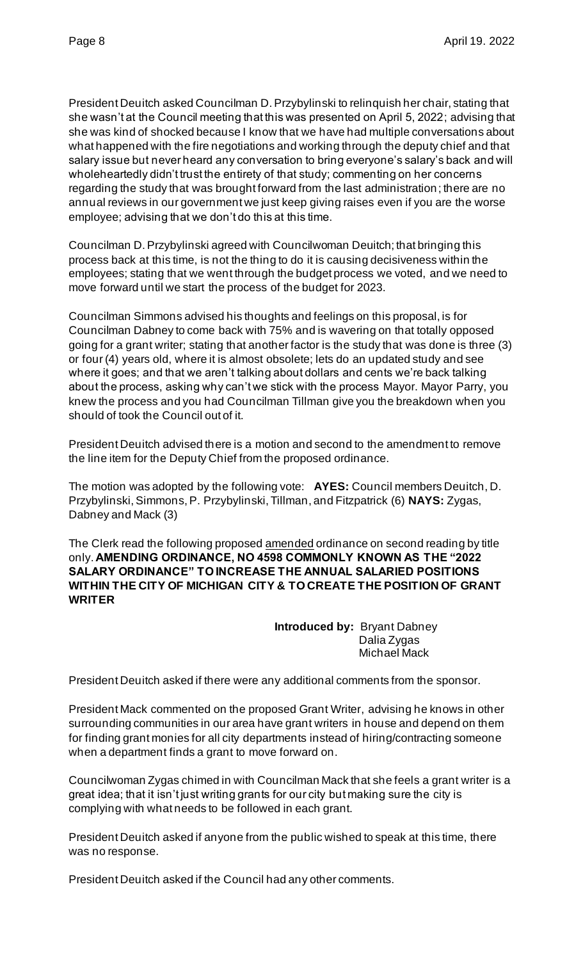President Deuitch asked Councilman D. Przybylinski to relinquish her chair, stating that she wasn't at the Council meeting that this was presented on April 5, 2022; advising that she was kind of shocked because I know that we have had multiple conversations about what happened with the fire negotiations and working through the deputy chief and that salary issue but never heard any conversation to bring everyone's salary's back and will wholeheartedly didn't trust the entirety of that study; commenting on her concerns regarding the study that was brought forward from the last administration; there are no annual reviews in our government we just keep giving raises even if you are the worse employee; advising that we don't do this at this time.

Councilman D. Przybylinski agreed with Councilwoman Deuitch; that bringing this process back at this time, is not the thing to do it is causing decisiveness within the employees; stating that we went through the budget process we voted, and we need to move forward until we start the process of the budget for 2023.

Councilman Simmons advised his thoughts and feelings on this proposal, is for Councilman Dabney to come back with 75% and is wavering on that totally opposed going for a grant writer; stating that another factor is the study that was done is three (3) or four (4) years old, where it is almost obsolete; lets do an updated study and see where it goes; and that we aren't talking about dollars and cents we're back talking about the process, asking why can't we stick with the process Mayor. Mayor Parry, you knew the process and you had Councilman Tillman give you the breakdown when you should of took the Council out of it.

President Deuitch advised there is a motion and second to the amendment to remove the line item for the Deputy Chief from the proposed ordinance.

The motion was adopted by the following vote: **AYES:** Council members Deuitch, D. Przybylinski, Simmons, P. Przybylinski, Tillman, and Fitzpatrick (6) **NAYS:** Zygas, Dabney and Mack (3)

The Clerk read the following proposed amended ordinance on second reading by title only. **AMENDING ORDINANCE, NO 4598 COMMONLY KNOWN AS THE "2022 SALARY ORDINANCE" TO INCREASE THE ANNUAL SALARIED POSITIONS WITHIN THE CITY OF MICHIGAN CITY & TO CREATE THE POSITION OF GRANT WRITER**

> **Introduced by:** Bryant Dabney Dalia Zygas Michael Mack

President Deuitch asked if there were any additional comments from the sponsor.

President Mack commented on the proposed Grant Writer, advising he knows in other surrounding communities in our area have grant writers in house and depend on them for finding grant monies for all city departments instead of hiring/contracting someone when a department finds a grant to move forward on.

Councilwoman Zygas chimed in with Councilman Mack that she feels a grant writer is a great idea; that it isn't just writing grants for our city but making sure the city is complying with what needs to be followed in each grant.

President Deuitch asked if anyone from the public wished to speak at this time, there was no response.

President Deuitch asked if the Council had any other comments.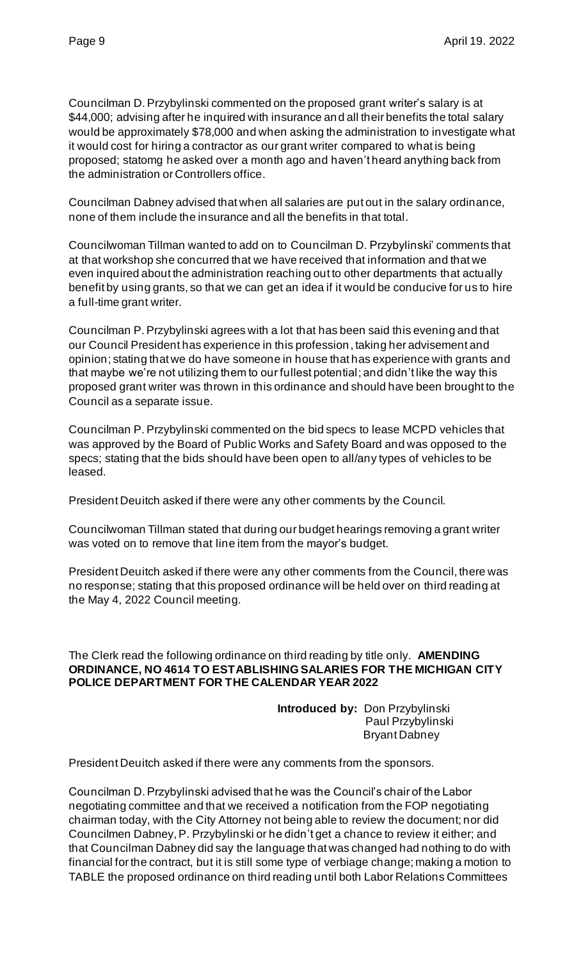Councilman D. Przybylinski commented on the proposed grant writer's salary is at \$44,000; advising after he inquired with insurance and all their benefits the total salary would be approximately \$78,000 and when asking the administration to investigate what it would cost for hiring a contractor as our grant writer compared to what is being proposed; statomg he asked over a month ago and haven't heard anything back from the administration or Controllers office.

Councilman Dabney advised that when all salaries are put out in the salary ordinance, none of them include the insurance and all the benefits in that total.

Councilwoman Tillman wanted to add on to Councilman D. Przybylinski' comments that at that workshop she concurred that we have received that information and that we even inquired about the administration reaching out to other departments that actually benefit by using grants, so that we can get an idea if it would be conducive for us to hire a full-time grant writer.

Councilman P. Przybylinski agrees with a lot that has been said this evening and that our Council President has experience in this profession, taking her advisement and opinion; stating that we do have someone in house that has experience with grants and that maybe we're not utilizing them to our fullest potential; and didn't like the way this proposed grant writer was thrown in this ordinance and should have been brought to the Council as a separate issue.

Councilman P. Przybylinski commented on the bid specs to lease MCPD vehicles that was approved by the Board of Public Works and Safety Board and was opposed to the specs; stating that the bids should have been open to all/any types of vehicles to be leased.

President Deuitch asked if there were any other comments by the Council.

Councilwoman Tillman stated that during our budget hearings removing a grant writer was voted on to remove that line item from the mayor's budget.

President Deuitch asked if there were any other comments from the Council, there was no response; stating that this proposed ordinance will be held over on third reading at the May 4, 2022 Council meeting.

#### The Clerk read the following ordinance on third reading by title only. **AMENDING ORDINANCE, NO 4614 TO ESTABLISHING SALARIES FOR THE MICHIGAN CITY POLICE DEPARTMENT FOR THE CALENDAR YEAR 2022**

**Introduced by:** Don Przybylinski Paul Przybylinski Bryant Dabney

President Deuitch asked if there were any comments from the sponsors.

Councilman D. Przybylinski advised that he was the Council's chair of the Labor negotiating committee and that we received a notification from the FOP negotiating chairman today, with the City Attorney not being able to review the document; nor did Councilmen Dabney, P. Przybylinski or he didn't get a chance to review it either; and that Councilman Dabney did say the language that was changed had nothing to do with financial for the contract, but it is still some type of verbiage change; making a motion to TABLE the proposed ordinance on third reading until both Labor Relations Committees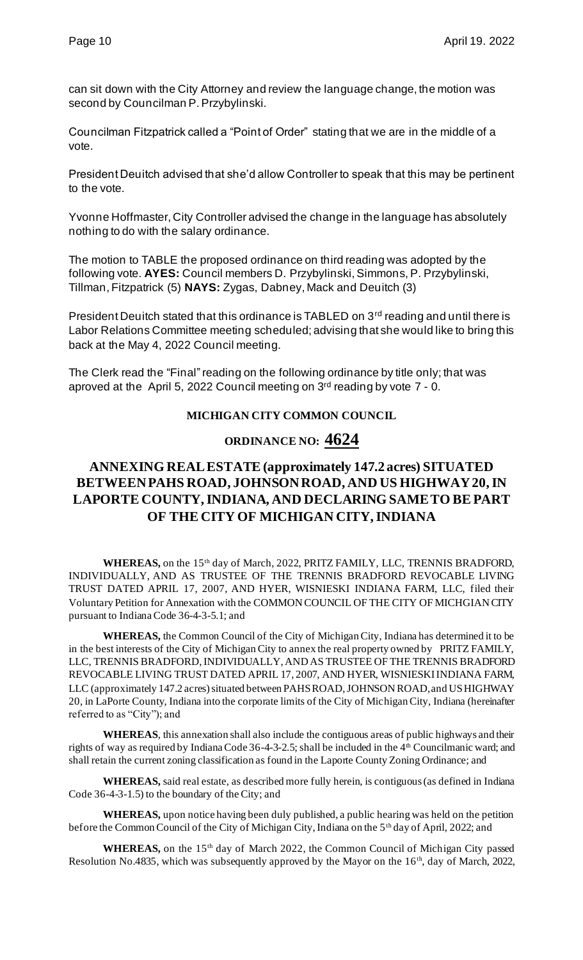can sit down with the City Attorney and review the language change, the motion was second by Councilman P. Przybylinski.

Councilman Fitzpatrick called a "Point of Order" stating that we are in the middle of a vote.

President Deuitch advised that she'd allow Controller to speak that this may be pertinent to the vote.

Yvonne Hoffmaster, City Controller advised the change in the language has absolutely nothing to do with the salary ordinance.

The motion to TABLE the proposed ordinance on third reading was adopted by the following vote. **AYES:** Council members D. Przybylinski, Simmons, P. Przybylinski, Tillman, Fitzpatrick (5) **NAYS:** Zygas, Dabney, Mack and Deuitch (3)

President Deuitch stated that this ordinance is TABLED on 3<sup>rd</sup> reading and until there is Labor Relations Committee meeting scheduled; advising that she would like to bring this back at the May 4, 2022 Council meeting.

The Clerk read the "Final" reading on the following ordinance by title only; that was aproved at the April 5, 2022 Council meeting on  $3<sup>rd</sup>$  reading by vote  $7 - 0$ .

#### **MICHIGAN CITY COMMON COUNCIL**

# **ORDINANCE NO: 4624**

# **ANNEXING REAL ESTATE (approximately 147.2 acres) SITUATED BETWEEN PAHS ROAD, JOHNSON ROAD, AND US HIGHWAY 20, IN LAPORTE COUNTY, INDIANA, AND DECLARING SAME TO BE PART OF THE CITY OF MICHIGAN CITY, INDIANA**

WHEREAS, on the 15<sup>th</sup> day of March, 2022, PRITZ FAMILY, LLC, TRENNIS BRADFORD, INDIVIDUALLY, AND AS TRUSTEE OF THE TRENNIS BRADFORD REVOCABLE LIVING TRUST DATED APRIL 17, 2007, AND HYER, WISNIESKI INDIANA FARM, LLC, filed their Voluntary Petition for Annexation with the COMMON COUNCIL OF THE CITY OF MICHGIAN CITY pursuant to Indiana Code 36-4-3-5.1; and

**WHEREAS,** the Common Council of the City of Michigan City, Indiana has determined it to be in the best interests of the City of Michigan City to annex the real property owned by PRITZ FAMILY, LLC, TRENNIS BRADFORD, INDIVIDUALLY, AND AS TRUSTEE OF THE TRENNIS BRADFORD REVOCABLE LIVING TRUST DATED APRIL 17, 2007, AND HYER, WISNIESKI INDIANA FARM, LLC (approximately 147.2 acres) situated between PAHS ROAD, JOHNSON ROAD, and US HIGHWAY 20, in LaPorte County, Indiana into the corporate limits of the City of Michigan City, Indiana (hereinafter referred to as "City"); and

**WHEREAS**, this annexation shall also include the contiguous areas of public highways and their rights of way as required by Indiana Code 36-4-3-2.5; shall be included in the 4<sup>th</sup> Councilmanic ward; and shall retain the current zoning classification as found in the Laporte County Zoning Ordinance; and

**WHEREAS,** said real estate, as described more fully herein, is contiguous (as defined in Indiana Code 36-4-3-1.5) to the boundary of the City; and

**WHEREAS,** upon notice having been duly published, a public hearing was held on the petition before the Common Council of the City of Michigan City, Indiana on the 5<sup>th</sup> day of April, 2022; and

WHEREAS, on the 15<sup>th</sup> day of March 2022, the Common Council of Michigan City passed Resolution No.4835, which was subsequently approved by the Mayor on the 16<sup>th</sup>, day of March, 2022,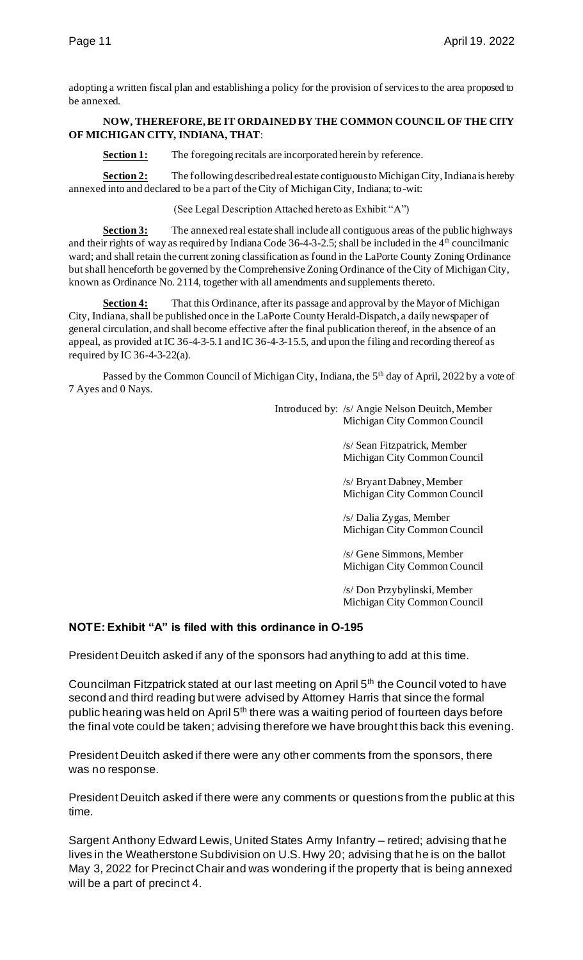adopting a written fiscal plan and establishing a policy for the provision of services to the area proposed to be annexed.

#### **NOW, THEREFORE, BE IT ORDAINED BY THE COMMON COUNCIL OF THE CITY OF MICHIGAN CITY, INDIANA, THAT**:

**Section 1:** The foregoing recitals are incorporated herein by reference.

Section 2: The following described real estate contiguous to Michigan City, Indiana is hereby annexed into and declared to be a part of the City of Michigan City, Indiana; to-wit:

(See Legal Description Attached hereto as Exhibit "A")

**Section 3:** The annexed real estate shall include all contiguous areas of the public highways and their rights of way as required by Indiana Code 36-4-3-2.5; shall be included in the  $4<sup>th</sup>$  councilmanic ward; and shall retain the current zoning classification as found in the LaPorte County Zoning Ordinance but shall henceforth be governed by the Comprehensive Zoning Ordinance of the City of Michigan City, known as Ordinance No. 2114, together with all amendments and supplements thereto.

**Section 4:** That this Ordinance, after its passage and approval by the Mayor of Michigan City, Indiana, shall be published once in the LaPorte County Herald-Dispatch, a daily newspaper of general circulation, and shall become effective after the final publication thereof, in the absence of an appeal, as provided at IC 36-4-3-5.1 and IC 36-4-3-15.5, and upon the filing and recording thereof as required by IC  $36-4-3-22(a)$ .

Passed by the Common Council of Michigan City, Indiana, the 5<sup>th</sup> day of April, 2022 by a vote of 7 Ayes and 0 Nays.

> Introduced by: /s/ Angie Nelson Deuitch, Member Michigan City Common Council

> > /s/ Sean Fitzpatrick, Member Michigan City Common Council

> > /s/ Bryant Dabney, Member Michigan City Common Council

> > /s/ Dalia Zygas, Member Michigan City Common Council

> > /s/ Gene Simmons, Member Michigan City Common Council

/s/ Don Przybylinski, Member Michigan City Common Council

# **NOTE: Exhibit "A" is filed with this ordinance in O-195**

President Deuitch asked if any of the sponsors had anything to add at this time.

Councilman Fitzpatrick stated at our last meeting on April 5<sup>th</sup> the Council voted to have second and third reading but were advised by Attorney Harris that since the formal public hearing was held on April  $5<sup>th</sup>$  there was a waiting period of fourteen days before the final vote could be taken; advising therefore we have brought this back this evening.

President Deuitch asked if there were any other comments from the sponsors, there was no response.

President Deuitch asked if there were any comments or questions from the public at this time.

Sargent Anthony Edward Lewis, United States Army Infantry – retired; advising that he lives in the Weatherstone Subdivision on U.S. Hwy 20; advising that he is on the ballot May 3, 2022 for Precinct Chair and was wondering if the property that is being annexed will be a part of precinct 4.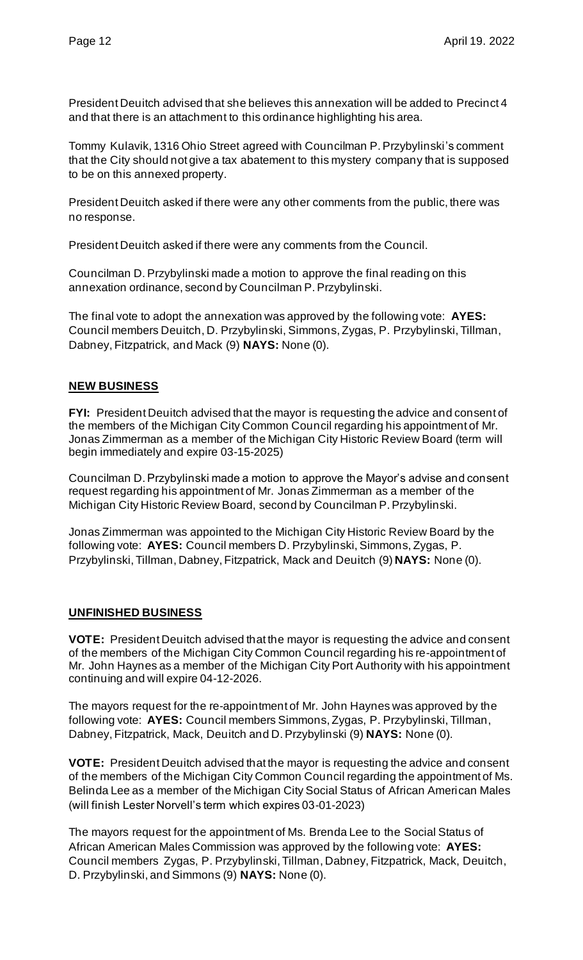President Deuitch advised that she believes this annexation will be added to Precinct 4 and that there is an attachment to this ordinance highlighting his area.

Tommy Kulavik, 1316 Ohio Street agreed with Councilman P. Przybylinski's comment that the City should not give a tax abatement to this mystery company that is supposed to be on this annexed property.

President Deuitch asked if there were any other comments from the public, there was no response.

President Deuitch asked if there were any comments from the Council.

Councilman D. Przybylinski made a motion to approve the final reading on this annexation ordinance, second by Councilman P. Przybylinski.

The final vote to adopt the annexation was approved by the following vote: **AYES:**  Council members Deuitch, D. Przybylinski, Simmons, Zygas, P. Przybylinski, Tillman, Dabney, Fitzpatrick, and Mack (9) **NAYS:** None (0).

# **NEW BUSINESS**

**FYI:** President Deuitch advised that the mayor is requesting the advice and consent of the members of the Michigan City Common Council regarding his appointment of Mr. Jonas Zimmerman as a member of the Michigan City Historic Review Board (term will begin immediately and expire 03-15-2025)

Councilman D. Przybylinski made a motion to approve the Mayor's advise and consent request regarding his appointment of Mr. Jonas Zimmerman as a member of the Michigan City Historic Review Board, second by Councilman P. Przybylinski.

Jonas Zimmerman was appointed to the Michigan City Historic Review Board by the following vote: **AYES:** Council members D. Przybylinski, Simmons, Zygas, P. Przybylinski, Tillman, Dabney, Fitzpatrick, Mack and Deuitch (9) **NAYS:** None (0).

#### **UNFINISHED BUSINESS**

**VOTE:** President Deuitch advised that the mayor is requesting the advice and consent of the members of the Michigan City Common Council regarding his re-appointment of Mr. John Haynes as a member of the Michigan City Port Authority with his appointment continuing and will expire 04-12-2026.

The mayors request for the re-appointment of Mr. John Haynes was approved by the following vote: **AYES:** Council members Simmons, Zygas, P. Przybylinski, Tillman, Dabney, Fitzpatrick, Mack, Deuitch and D. Przybylinski (9) **NAYS:** None (0).

**VOTE:** President Deuitch advised that the mayor is requesting the advice and consent of the members of the Michigan City Common Council regarding the appointment of Ms. Belinda Lee as a member of the Michigan City Social Status of African American Males (will finish Lester Norvell's term which expires 03-01-2023)

The mayors request for the appointment of Ms. Brenda Lee to the Social Status of African American Males Commission was approved by the following vote: **AYES:**  Council members Zygas, P. Przybylinski, Tillman, Dabney, Fitzpatrick, Mack, Deuitch, D. Przybylinski, and Simmons (9) **NAYS:** None (0).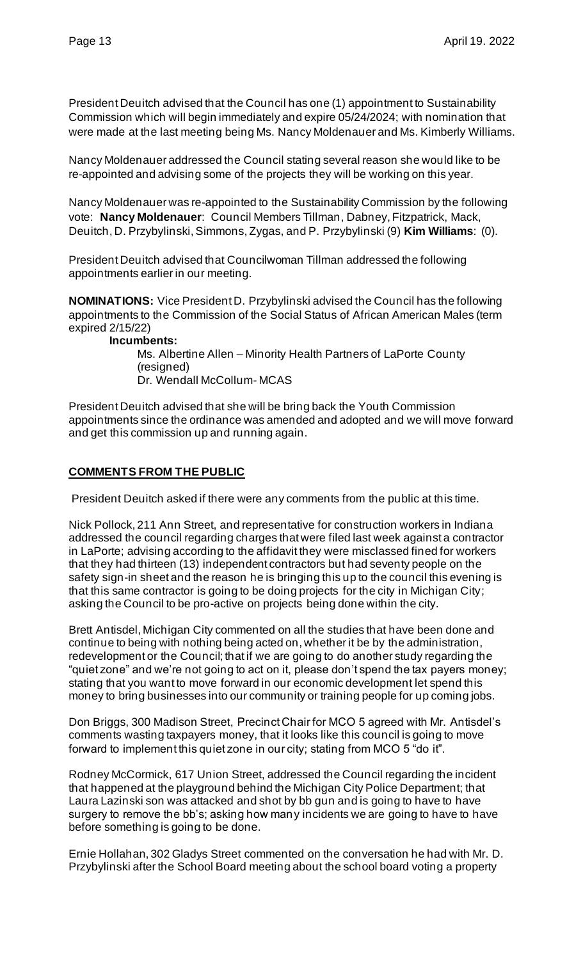President Deuitch advised that the Council has one (1) appointment to Sustainability Commission which will begin immediately and expire 05/24/2024; with nomination that were made at the last meeting being Ms. Nancy Moldenauer and Ms. Kimberly Williams.

Nancy Moldenauer addressed the Council stating several reason she would like to be re-appointed and advising some of the projects they will be working on this year.

Nancy Moldenauer was re-appointed to the Sustainability Commission by the following vote: **Nancy Moldenauer**: Council Members Tillman, Dabney, Fitzpatrick, Mack, Deuitch, D. Przybylinski, Simmons, Zygas, and P. Przybylinski (9) **Kim Williams**: (0).

President Deuitch advised that Councilwoman Tillman addressed the following appointments earlier in our meeting.

**NOMINATIONS:** Vice President D. Przybylinski advised the Council has the following appointments to the Commission of the Social Status of African American Males (term expired 2/15/22)

**Incumbents:**

Ms. Albertine Allen – Minority Health Partners of LaPorte County (resigned) Dr. Wendall McCollum- MCAS

President Deuitch advised that she will be bring back the Youth Commission appointments since the ordinance was amended and adopted and we will move forward and get this commission up and running again.

#### **COMMENTS FROM THE PUBLIC**

President Deuitch asked if there were any comments from the public at this time.

Nick Pollock, 211 Ann Street, and representative for construction workers in Indiana addressed the council regarding charges that were filed last week against a contractor in LaPorte; advising according to the affidavit they were misclassed fined for workers that they had thirteen (13) independent contractors but had seventy people on the safety sign-in sheet and the reason he is bringing this up to the council this evening is that this same contractor is going to be doing projects for the city in Michigan City; asking the Council to be pro-active on projects being done within the city.

Brett Antisdel, Michigan City commented on all the studies that have been done and continue to being with nothing being acted on, whether it be by the administration, redevelopment or the Council; that if we are going to do another study regarding the "quiet zone" and we're not going to act on it, please don't spend the tax payers money; stating that you want to move forward in our economic development let spend this money to bring businesses into our community or training people for up coming jobs.

Don Briggs, 300 Madison Street, Precinct Chair for MCO 5 agreed with Mr. Antisdel's comments wasting taxpayers money, that it looks like this council is going to move forward to implement this quiet zone in our city; stating from MCO 5 "do it".

Rodney McCormick, 617 Union Street, addressed the Council regarding the incident that happened at the playground behind the Michigan City Police Department; that Laura Lazinski son was attacked and shot by bb gun and is going to have to have surgery to remove the bb's; asking how many incidents we are going to have to have before something is going to be done.

Ernie Hollahan, 302 Gladys Street commented on the conversation he had with Mr. D. Przybylinski after the School Board meeting about the school board voting a property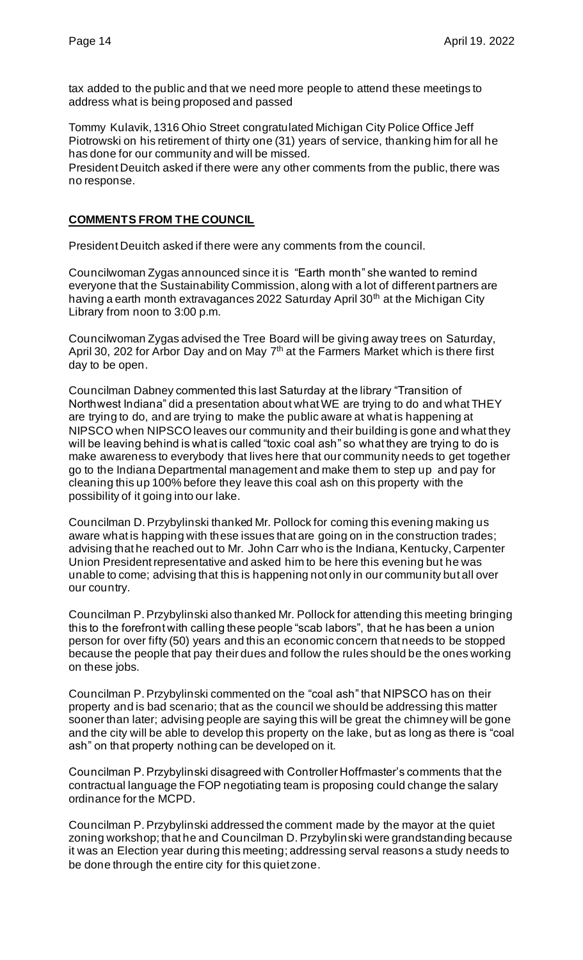tax added to the public and that we need more people to attend these meetings to address what is being proposed and passed

Tommy Kulavik, 1316 Ohio Street congratulated Michigan City Police Office Jeff Piotrowski on his retirement of thirty one (31) years of service, thanking him for all he has done for our community and will be missed.

President Deuitch asked if there were any other comments from the public, there was no response.

#### **COMMENTS FROM THE COUNCIL**

President Deuitch asked if there were any comments from the council.

Councilwoman Zygas announced since it is "Earth month" she wanted to remind everyone that the Sustainability Commission, along with a lot of different partners are having a earth month extravagances 2022 Saturday April 30<sup>th</sup> at the Michigan City Library from noon to 3:00 p.m.

Councilwoman Zygas advised the Tree Board will be giving away trees on Saturday, April 30, 202 for Arbor Day and on May  $7<sup>th</sup>$  at the Farmers Market which is there first day to be open.

Councilman Dabney commented this last Saturday at the library "Transition of Northwest Indiana" did a presentation about what WE are trying to do and what THEY are trying to do, and are trying to make the public aware at what is happening at NIPSCO when NIPSCO leaves our community and their building is gone and what they will be leaving behind is what is called "toxic coal ash" so what they are trying to do is make awareness to everybody that lives here that our community needs to get together go to the Indiana Departmental management and make them to step up and pay for cleaning this up 100% before they leave this coal ash on this property with the possibility of it going into our lake.

Councilman D. Przybylinski thanked Mr. Pollock for coming this evening making us aware what is happing with these issues that are going on in the construction trades; advising that he reached out to Mr. John Carr who is the Indiana, Kentucky, Carpenter Union President representative and asked him to be here this evening but he was unable to come; advising that this is happening not only in our community but all over our country.

Councilman P. Przybylinski also thanked Mr. Pollock for attending this meeting bringing this to the forefront with calling these people "scab labors", that he has been a union person for over fifty (50) years and this an economic concern that needs to be stopped because the people that pay their dues and follow the rules should be the ones working on these jobs.

Councilman P. Przybylinski commented on the "coal ash" that NIPSCO has on their property and is bad scenario; that as the council we should be addressing this matter sooner than later; advising people are saying this will be great the chimney will be gone and the city will be able to develop this property on the lake, but as long as there is "coal ash" on that property nothing can be developed on it.

Councilman P. Przybylinski disagreed with Controller Hoffmaster's comments that the contractual language the FOP negotiating team is proposing could change the salary ordinance for the MCPD.

Councilman P. Przybylinski addressed the comment made by the mayor at the quiet zoning workshop; that he and Councilman D. Przybylinski were grandstanding because it was an Election year during this meeting; addressing serval reasons a study needs to be done through the entire city for this quiet zone.